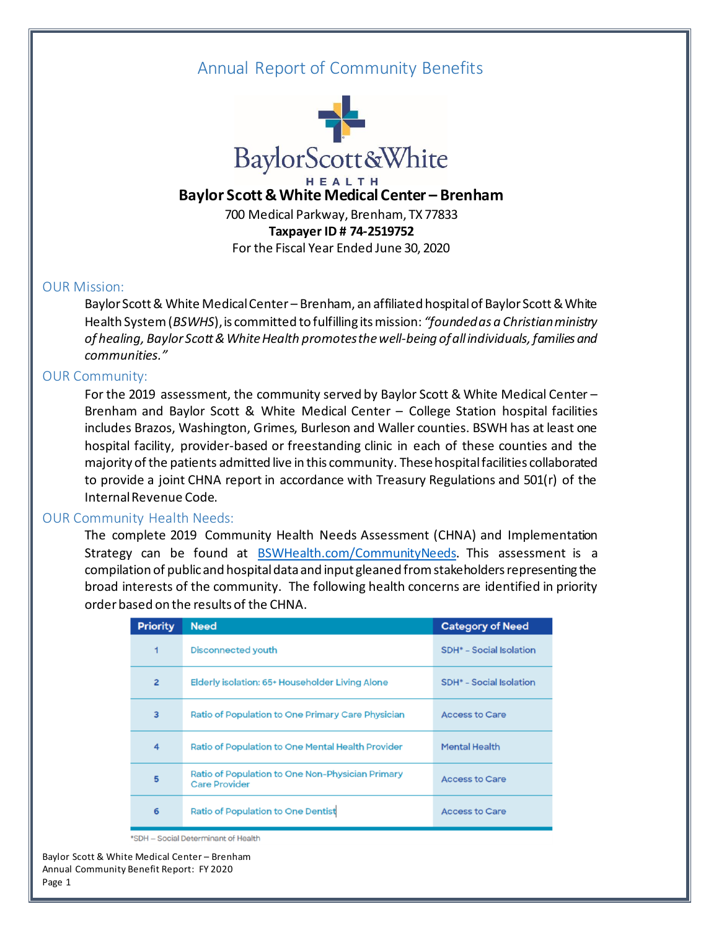# Annual Report of Community Benefits



# **Baylor Scott & White Medical Center – Brenham**

700 Medical Parkway, Brenham, TX 77833 **Taxpayer ID # 74-2519752** For the Fiscal Year Ended June 30, 2020

## OUR Mission:

Baylor Scott & White Medical Center – Brenham, an affiliated hospital of Baylor Scott & White Health System (*BSWHS*), is committed to fulfilling its mission: *"founded as a Christian ministry of healing, Baylor Scott & White Health promotes the well-being of all individuals, families and communities."*

## OUR Community:

For the 2019 assessment, the community served by Baylor Scott & White Medical Center – Brenham and Baylor Scott & White Medical Center – College Station hospital facilities includes Brazos, Washington, Grimes, Burleson and Waller counties. BSWH has at least one hospital facility, provider-based or freestanding clinic in each of these counties and the majority of the patients admitted live in this community. These hospital facilities collaborated to provide a joint CHNA report in accordance with Treasury Regulations and 501(r) of the Internal Revenue Code.

### OUR Community Health Needs:

The complete 2019 Community Health Needs Assessment (CHNA) and Implementation Strategy can be found at [BSWHealth.com/CommunityNeeds](http://bswhealth.com/communityneeds). This assessment is a compilation of public and hospital data and input gleaned from stakeholders representing the broad interests of the community. The following health concerns are identified in priority order based on the results of the CHNA.

| <b>Priority</b> | <b>Need</b>                                                              | <b>Category of Need</b>                   |
|-----------------|--------------------------------------------------------------------------|-------------------------------------------|
| 1               | <b>Disconnected youth</b>                                                | <b>SDH<sup>*</sup></b> - Social Isolation |
| $\overline{2}$  | Elderly isolation: 65+ Householder Living Alone                          | <b>SDH<sup>*</sup></b> - Social Isolation |
| 3               | Ratio of Population to One Primary Care Physician                        | <b>Access to Care</b>                     |
| 4               | Ratio of Population to One Mental Health Provider                        | <b>Mental Health</b>                      |
| 5               | Ratio of Population to One Non-Physician Primary<br><b>Care Provider</b> | <b>Access to Care</b>                     |
| 6               | <b>Ratio of Population to One Dentist</b>                                | <b>Access to Care</b>                     |

\*SDH - Social Determinant of Health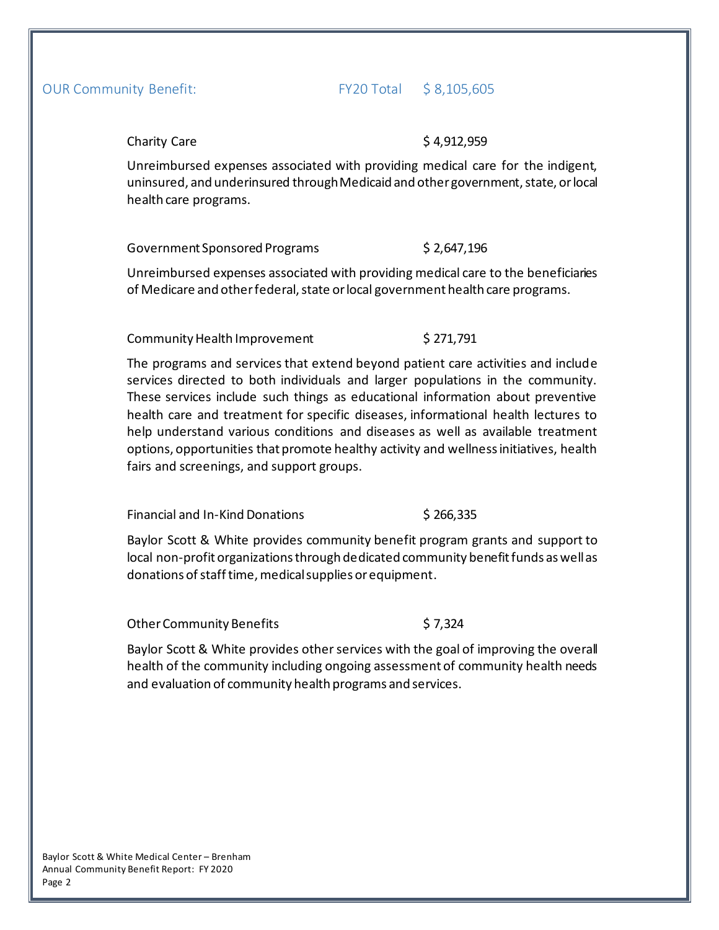# OUR Community Benefit: FY20 Total \$ 8,105,605

### Charity Care  $$ 4,912,959$

Unreimbursed expenses associated with providing medical care for the indigent, uninsured, and underinsured through Medicaid and other government, state, or local health care programs.

Government Sponsored Programs \$2,647,196

Unreimbursed expenses associated with providing medical care to the beneficiaries of Medicare and other federal, state or local government health care programs.

# Community Health Improvement \$271,791

The programs and services that extend beyond patient care activities and include services directed to both individuals and larger populations in the community. These services include such things as educational information about preventive health care and treatment for specific diseases, informational health lectures to help understand various conditions and diseases as well as available treatment options, opportunities that promote healthy activity and wellness initiatives, health fairs and screenings, and support groups.

Financial and In-Kind Donations \$ 266,335

Baylor Scott & White provides community benefit program grants and support to local non-profit organizations through dedicated community benefit funds as well as donations of staff time, medical supplies or equipment.

Other Community Benefits \$7,324

Baylor Scott & White provides other services with the goal of improving the overall health of the community including ongoing assessment of community health needs and evaluation of community health programs and services.